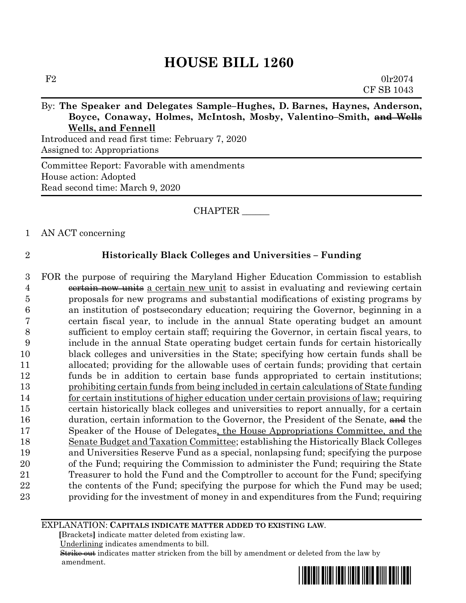# By: **The Speaker and Delegates Sample–Hughes, D. Barnes, Haynes, Anderson, Boyce, Conaway, Holmes, McIntosh, Mosby, Valentino–Smith, and Wells Wells, and Fennell**

Introduced and read first time: February 7, 2020 Assigned to: Appropriations

Committee Report: Favorable with amendments House action: Adopted Read second time: March 9, 2020

### CHAPTER \_\_\_\_\_\_

### 1 AN ACT concerning

### 2 **Historically Black Colleges and Universities – Funding**

 FOR the purpose of requiring the Maryland Higher Education Commission to establish 4 eertain new units a certain new unit to assist in evaluating and reviewing certain proposals for new programs and substantial modifications of existing programs by an institution of postsecondary education; requiring the Governor, beginning in a certain fiscal year, to include in the annual State operating budget an amount sufficient to employ certain staff; requiring the Governor, in certain fiscal years, to include in the annual State operating budget certain funds for certain historically black colleges and universities in the State; specifying how certain funds shall be allocated; providing for the allowable uses of certain funds; providing that certain funds be in addition to certain base funds appropriated to certain institutions; prohibiting certain funds from being included in certain calculations of State funding 14 for certain institutions of higher education under certain provisions of law; requiring certain historically black colleges and universities to report annually, for a certain 16 duration, certain information to the Governor, the President of the Senate, and the Speaker of the House of Delegates, the House Appropriations Committee, and the Senate Budget and Taxation Committee; establishing the Historically Black Colleges and Universities Reserve Fund as a special, nonlapsing fund; specifying the purpose of the Fund; requiring the Commission to administer the Fund; requiring the State Treasurer to hold the Fund and the Comptroller to account for the Fund; specifying 22 the contents of the Fund; specifying the purpose for which the Fund may be used; providing for the investment of money in and expenditures from the Fund; requiring

#### EXPLANATION: **CAPITALS INDICATE MATTER ADDED TO EXISTING LAW**.

 **[**Brackets**]** indicate matter deleted from existing law.

Underlining indicates amendments to bill.

 Strike out indicates matter stricken from the bill by amendment or deleted from the law by amendment.

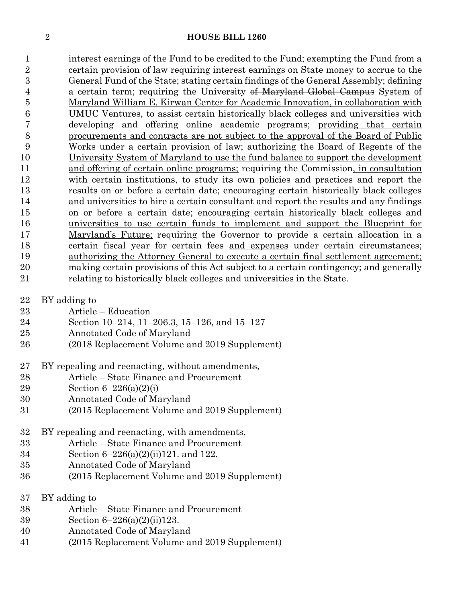interest earnings of the Fund to be credited to the Fund; exempting the Fund from a certain provision of law requiring interest earnings on State money to accrue to the General Fund of the State; stating certain findings of the General Assembly; defining 4 a certain term; requiring the University of Maryland Global Campus System of Maryland William E. Kirwan Center for Academic Innovation, in collaboration with UMUC Ventures, to assist certain historically black colleges and universities with developing and offering online academic programs; providing that certain procurements and contracts are not subject to the approval of the Board of Public Works under a certain provision of law; authorizing the Board of Regents of the University System of Maryland to use the fund balance to support the development and offering of certain online programs; requiring the Commission, in consultation with certain institutions, to study its own policies and practices and report the results on or before a certain date; encouraging certain historically black colleges and universities to hire a certain consultant and report the results and any findings on or before a certain date; encouraging certain historically black colleges and universities to use certain funds to implement and support the Blueprint for Maryland's Future; requiring the Governor to provide a certain allocation in a certain fiscal year for certain fees and expenses under certain circumstances; 19 authorizing the Attorney General to execute a certain final settlement agreement; making certain provisions of this Act subject to a certain contingency; and generally relating to historically black colleges and universities in the State.

- BY adding to
- Article Education
- Section 10–214, 11–206.3, 15–126, and 15–127
- Annotated Code of Maryland
- (2018 Replacement Volume and 2019 Supplement)
- BY repealing and reenacting, without amendments,
- Article State Finance and Procurement
- Section 6–226(a)(2)(i)
- Annotated Code of Maryland
- (2015 Replacement Volume and 2019 Supplement)
- BY repealing and reenacting, with amendments,
- Article State Finance and Procurement
- Section 6–226(a)(2)(ii)121. and 122.
- Annotated Code of Maryland
- (2015 Replacement Volume and 2019 Supplement)
- BY adding to
- Article State Finance and Procurement
- Section 6–226(a)(2)(ii)123.
- Annotated Code of Maryland
- (2015 Replacement Volume and 2019 Supplement)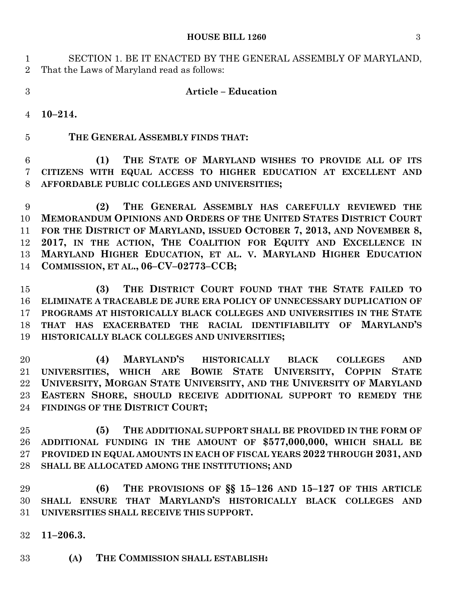#### **HOUSE BILL 1260** 3

 SECTION 1. BE IT ENACTED BY THE GENERAL ASSEMBLY OF MARYLAND, That the Laws of Maryland read as follows:

## **Article – Education**

**10–214.**

**THE GENERAL ASSEMBLY FINDS THAT:**

 **(1) THE STATE OF MARYLAND WISHES TO PROVIDE ALL OF ITS CITIZENS WITH EQUAL ACCESS TO HIGHER EDUCATION AT EXCELLENT AND AFFORDABLE PUBLIC COLLEGES AND UNIVERSITIES;**

 **(2) THE GENERAL ASSEMBLY HAS CAREFULLY REVIEWED THE MEMORANDUM OPINIONS AND ORDERS OF THE UNITED STATES DISTRICT COURT FOR THE DISTRICT OF MARYLAND, ISSUED OCTOBER 7, 2013, AND NOVEMBER 8, 2017, IN THE ACTION, THE COALITION FOR EQUITY AND EXCELLENCE IN MARYLAND HIGHER EDUCATION, ET AL. V. MARYLAND HIGHER EDUCATION COMMISSION, ET AL., 06–CV–02773–CCB;**

 **(3) THE DISTRICT COURT FOUND THAT THE STATE FAILED TO ELIMINATE A TRACEABLE DE JURE ERA POLICY OF UNNECESSARY DUPLICATION OF PROGRAMS AT HISTORICALLY BLACK COLLEGES AND UNIVERSITIES IN THE STATE THAT HAS EXACERBATED THE RACIAL IDENTIFIABILITY OF MARYLAND'S HISTORICALLY BLACK COLLEGES AND UNIVERSITIES;**

 **(4) MARYLAND'S HISTORICALLY BLACK COLLEGES AND UNIVERSITIES, WHICH ARE BOWIE STATE UNIVERSITY, COPPIN STATE UNIVERSITY, MORGAN STATE UNIVERSITY, AND THE UNIVERSITY OF MARYLAND EASTERN SHORE, SHOULD RECEIVE ADDITIONAL SUPPORT TO REMEDY THE FINDINGS OF THE DISTRICT COURT;**

 **(5) THE ADDITIONAL SUPPORT SHALL BE PROVIDED IN THE FORM OF ADDITIONAL FUNDING IN THE AMOUNT OF \$577,000,000, WHICH SHALL BE PROVIDED IN EQUAL AMOUNTS IN EACH OF FISCAL YEARS 2022 THROUGH 2031, AND SHALL BE ALLOCATED AMONG THE INSTITUTIONS; AND**

 **(6) THE PROVISIONS OF §§ 15–126 AND 15–127 OF THIS ARTICLE SHALL ENSURE THAT MARYLAND'S HISTORICALLY BLACK COLLEGES AND UNIVERSITIES SHALL RECEIVE THIS SUPPORT.**

- **11–206.3.**
- **(A) THE COMMISSION SHALL ESTABLISH:**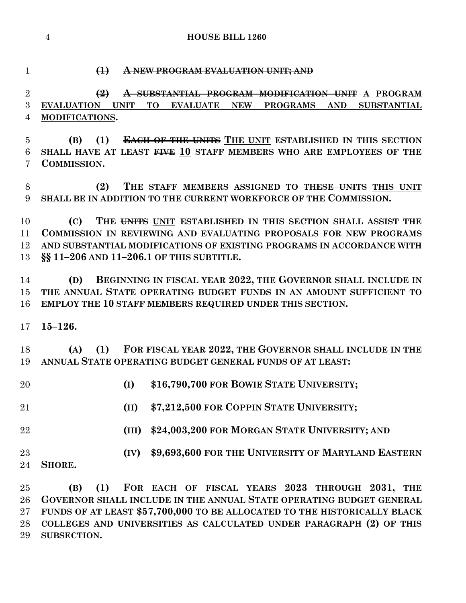### **(1) A NEW PROGRAM EVALUATION UNIT; AND**

 **(2) A SUBSTANTIAL PROGRAM MODIFICATION UNIT A PROGRAM EVALUATION UNIT TO EVALUATE NEW PROGRAMS AND SUBSTANTIAL MODIFICATIONS.**

 **(B) (1) EACH OF THE UNITS THE UNIT ESTABLISHED IN THIS SECTION SHALL HAVE AT LEAST FIVE 10 STAFF MEMBERS WHO ARE EMPLOYEES OF THE COMMISSION.**

 **(2) THE STAFF MEMBERS ASSIGNED TO THESE UNITS THIS UNIT SHALL BE IN ADDITION TO THE CURRENT WORKFORCE OF THE COMMISSION.**

 **(C) THE UNITS UNIT ESTABLISHED IN THIS SECTION SHALL ASSIST THE COMMISSION IN REVIEWING AND EVALUATING PROPOSALS FOR NEW PROGRAMS AND SUBSTANTIAL MODIFICATIONS OF EXISTING PROGRAMS IN ACCORDANCE WITH §§ 11–206 AND 11–206.1 OF THIS SUBTITLE.**

 **(D) BEGINNING IN FISCAL YEAR 2022, THE GOVERNOR SHALL INCLUDE IN THE ANNUAL STATE OPERATING BUDGET FUNDS IN AN AMOUNT SUFFICIENT TO EMPLOY THE 10 STAFF MEMBERS REQUIRED UNDER THIS SECTION.**

**15–126.**

 **(A) (1) FOR FISCAL YEAR 2022, THE GOVERNOR SHALL INCLUDE IN THE ANNUAL STATE OPERATING BUDGET GENERAL FUNDS OF AT LEAST:**

- **(I) \$16,790,700 FOR BOWIE STATE UNIVERSITY;**
- **(II) \$7,212,500 FOR COPPIN STATE UNIVERSITY;**
- **(III) \$24,003,200 FOR MORGAN STATE UNIVERSITY; AND**

 **(IV) \$9,693,600 FOR THE UNIVERSITY OF MARYLAND EASTERN SHORE.**

 **(B) (1) FOR EACH OF FISCAL YEARS 2023 THROUGH 2031, THE GOVERNOR SHALL INCLUDE IN THE ANNUAL STATE OPERATING BUDGET GENERAL FUNDS OF AT LEAST \$57,700,000 TO BE ALLOCATED TO THE HISTORICALLY BLACK COLLEGES AND UNIVERSITIES AS CALCULATED UNDER PARAGRAPH (2) OF THIS SUBSECTION.**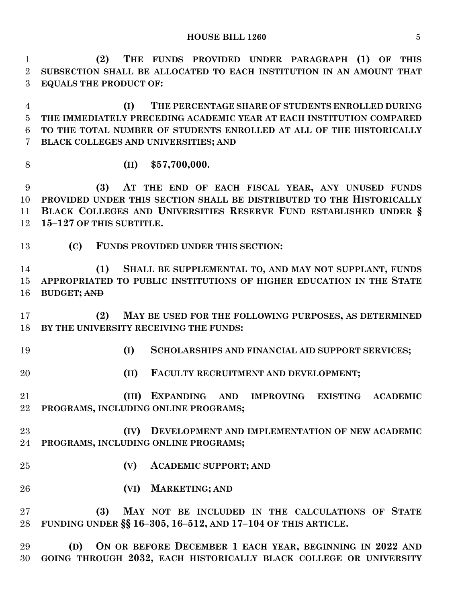| 1<br>$\overline{2}$              | (2)<br>THE FUNDS PROVIDED UNDER PARAGRAPH (1) OF THIS<br>SUBSECTION SHALL BE ALLOCATED TO EACH INSTITUTION IN AN AMOUNT THAT                                                                                                    |
|----------------------------------|---------------------------------------------------------------------------------------------------------------------------------------------------------------------------------------------------------------------------------|
| 3                                | <b>EQUALS THE PRODUCT OF:</b>                                                                                                                                                                                                   |
| $\overline{4}$<br>$\overline{5}$ | THE PERCENTAGE SHARE OF STUDENTS ENROLLED DURING<br>(I)<br>THE IMMEDIATELY PRECEDING ACADEMIC YEAR AT EACH INSTITUTION COMPARED                                                                                                 |
| 6<br>7                           | TO THE TOTAL NUMBER OF STUDENTS ENROLLED AT ALL OF THE HISTORICALLY<br>BLACK COLLEGES AND UNIVERSITIES; AND                                                                                                                     |
| 8                                | \$57,700,000.<br>(II)                                                                                                                                                                                                           |
| 9<br>10<br>11<br>12              | AT THE END OF EACH FISCAL YEAR, ANY UNUSED FUNDS<br>(3)<br>PROVIDED UNDER THIS SECTION SHALL BE DISTRIBUTED TO THE HISTORICALLY<br>BLACK COLLEGES AND UNIVERSITIES RESERVE FUND ESTABLISHED UNDER §<br>15-127 OF THIS SUBTITLE. |
| 13                               | (C)<br>FUNDS PROVIDED UNDER THIS SECTION:                                                                                                                                                                                       |
| 14<br>15<br>16                   | (1)<br>SHALL BE SUPPLEMENTAL TO, AND MAY NOT SUPPLANT, FUNDS<br>APPROPRIATED TO PUBLIC INSTITUTIONS OF HIGHER EDUCATION IN THE STATE<br><b>BUDGET; AND</b>                                                                      |
| 17<br>18                         | (2)<br>MAY BE USED FOR THE FOLLOWING PURPOSES, AS DETERMINED<br>BY THE UNIVERSITY RECEIVING THE FUNDS:                                                                                                                          |
| 19                               | (I)<br>SCHOLARSHIPS AND FINANCIAL AID SUPPORT SERVICES;                                                                                                                                                                         |
| 20                               | (II)<br>FACULTY RECRUITMENT AND DEVELOPMENT;                                                                                                                                                                                    |
| 21<br>22                         | (III) EXPANDING AND IMPROVING EXISTING ACADEMIC<br>PROGRAMS, INCLUDING ONLINE PROGRAMS;                                                                                                                                         |
| 23<br>24                         | (IV) DEVELOPMENT AND IMPLEMENTATION OF NEW ACADEMIC<br>PROGRAMS, INCLUDING ONLINE PROGRAMS;                                                                                                                                     |
| 25                               | (V)<br><b>ACADEMIC SUPPORT; AND</b>                                                                                                                                                                                             |
| 26                               | <b>MARKETING; AND</b><br>(VI)                                                                                                                                                                                                   |
| 27<br>28                         | (3)<br>MAY NOT BE INCLUDED IN THE CALCULATIONS OF STATE<br>FUNDING UNDER §§ 16-305, 16-512, AND 17-104 OF THIS ARTICLE.                                                                                                         |
| ററ                               | (D) ON OP PEEOPE DECEMPER 1 FACH VEAP PECINALING IN 9099 AND                                                                                                                                                                    |

 **(D) ON OR BEFORE DECEMBER 1 EACH YEAR, BEGINNING IN 2022 AND GOING THROUGH 2032, EACH HISTORICALLY BLACK COLLEGE OR UNIVERSITY**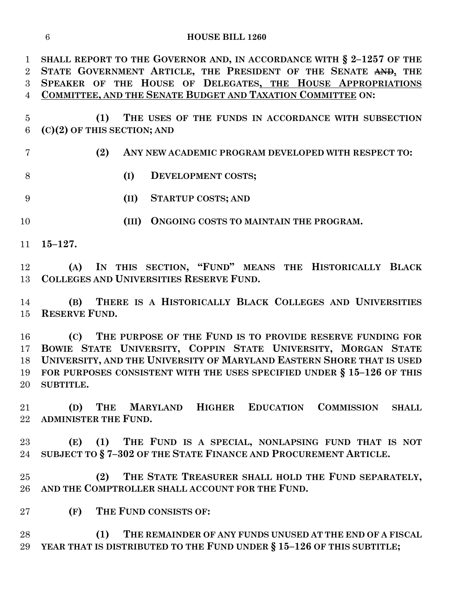| $\mathbf{1}$    | SHALL REPORT TO THE GOVERNOR AND, IN ACCORDANCE WITH $\S 2-1257$ OF THE |
|-----------------|-------------------------------------------------------------------------|
| $\overline{2}$  | STATE GOVERNMENT ARTICLE, THE PRESIDENT OF THE SENATE AND, THE          |
| $\overline{3}$  | SPEAKER OF THE HOUSE OF DELEGATES, THE HOUSE APPROPRIATIONS             |
| $\overline{4}$  | <b>COMMITTEE, AND THE SENATE BUDGET AND TAXATION COMMITTEE ON:</b>      |
| $\overline{5}$  | (1)<br>THE USES OF THE FUNDS IN ACCORDANCE WITH SUBSECTION              |
| $6\phantom{.}6$ | $(C)(2)$ OF THIS SECTION; AND                                           |
|                 |                                                                         |
| $\overline{7}$  | (2)<br>ANY NEW ACADEMIC PROGRAM DEVELOPED WITH RESPECT TO:              |
| 8               | (I)<br>DEVELOPMENT COSTS;                                               |
| 9               | (II)<br><b>STARTUP COSTS; AND</b>                                       |
| 10              | (III) ONGOING COSTS TO MAINTAIN THE PROGRAM.                            |
| 11              | $15 - 127.$                                                             |
| 12              | (A) IN THIS SECTION, "FUND" MEANS THE HISTORICALLY BLACK                |
| 13              | COLLEGES AND UNIVERSITIES RESERVE FUND.                                 |
|                 |                                                                         |
| 14              | THERE IS A HISTORICALLY BLACK COLLEGES AND UNIVERSITIES<br>(B)          |
| 15              | <b>RESERVE FUND.</b>                                                    |
| 16              | THE PURPOSE OF THE FUND IS TO PROVIDE RESERVE FUNDING FOR<br>(C)        |
| 17              | BOWIE STATE UNIVERSITY, COPPIN STATE UNIVERSITY, MORGAN STATE           |
| 18              | UNIVERSITY, AND THE UNIVERSITY OF MARYLAND EASTERN SHORE THAT IS USED   |
| 19              | FOR PURPOSES CONSISTENT WITH THE USES SPECIFIED UNDER § 15-126 OF THIS  |
| 20              | SUBTITLE.                                                               |
|                 |                                                                         |
| 21              | MARYLAND HIGHER EDUCATION COMMISSION<br>THE<br>(D)<br><b>SHALL</b>      |
| $22\,$          | <b>ADMINISTER THE FUND.</b>                                             |
|                 |                                                                         |
| $23\,$          | THE FUND IS A SPECIAL, NONLAPSING FUND THAT IS NOT<br>(E)<br>(1)        |
| 24              | SUBJECT TO § 7-302 OF THE STATE FINANCE AND PROCUREMENT ARTICLE.        |
| 25              | THE STATE TREASURER SHALL HOLD THE FUND SEPARATELY,<br>(2)              |
| 26              | AND THE COMPTROLLER SHALL ACCOUNT FOR THE FUND.                         |
|                 |                                                                         |
| $27\,$          | THE FUND CONSISTS OF:<br>(F)                                            |
| 28              | (1)<br>THE REMAINDER OF ANY FUNDS UNUSED AT THE END OF A FISCAL         |
| 29              | YEAR THAT IS DISTRIBUTED TO THE FUND UNDER § 15-126 OF THIS SUBTITLE;   |
|                 |                                                                         |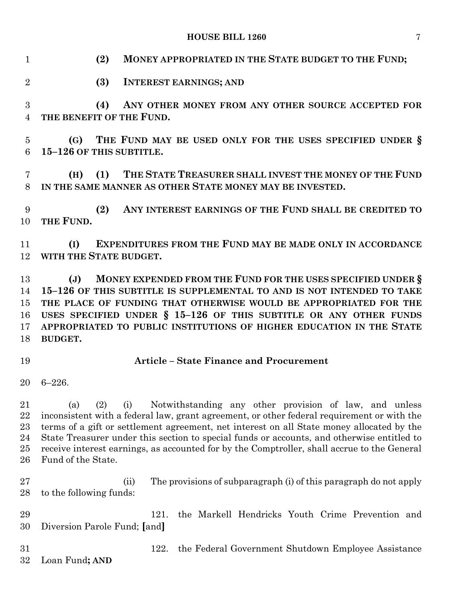**HOUSE BILL 1260** 7

 **(2) MONEY APPROPRIATED IN THE STATE BUDGET TO THE FUND; (3) INTEREST EARNINGS; AND (4) ANY OTHER MONEY FROM ANY OTHER SOURCE ACCEPTED FOR THE BENEFIT OF THE FUND. (G) THE FUND MAY BE USED ONLY FOR THE USES SPECIFIED UNDER § 15–126 OF THIS SUBTITLE. (H) (1) THE STATE TREASURER SHALL INVEST THE MONEY OF THE FUND IN THE SAME MANNER AS OTHER STATE MONEY MAY BE INVESTED. (2) ANY INTEREST EARNINGS OF THE FUND SHALL BE CREDITED TO THE FUND. (I) EXPENDITURES FROM THE FUND MAY BE MADE ONLY IN ACCORDANCE WITH THE STATE BUDGET. (J) MONEY EXPENDED FROM THE FUND FOR THE USES SPECIFIED UNDER § 15–126 OF THIS SUBTITLE IS SUPPLEMENTAL TO AND IS NOT INTENDED TO TAKE THE PLACE OF FUNDING THAT OTHERWISE WOULD BE APPROPRIATED FOR THE USES SPECIFIED UNDER § 15–126 OF THIS SUBTITLE OR ANY OTHER FUNDS APPROPRIATED TO PUBLIC INSTITUTIONS OF HIGHER EDUCATION IN THE STATE BUDGET. Article – State Finance and Procurement** 6–226. (a) (2) (i) Notwithstanding any other provision of law, and unless inconsistent with a federal law, grant agreement, or other federal requirement or with the terms of a gift or settlement agreement, net interest on all State money allocated by the State Treasurer under this section to special funds or accounts, and otherwise entitled to receive interest earnings, as accounted for by the Comptroller, shall accrue to the General Fund of the State. (ii) The provisions of subparagraph (i) of this paragraph do not apply to the following funds: 121. the Markell Hendricks Youth Crime Prevention and Diversion Parole Fund; **[**and**]** 122. the Federal Government Shutdown Employee Assistance Loan Fund**; AND**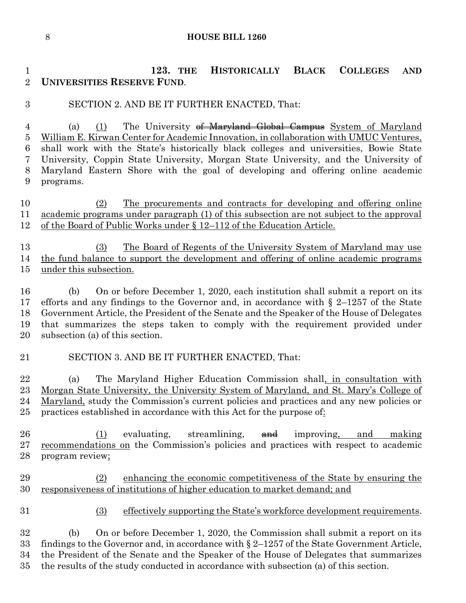**123. THE HISTORICALLY BLACK COLLEGES AND UNIVERSITIES RESERVE FUND**.

# SECTION 2. AND BE IT FURTHER ENACTED, That:

4 (a) (1) The University of Maryland Global Campus System of Maryland William E. Kirwan Center for Academic Innovation, in collaboration with UMUC Ventures, shall work with the State's historically black colleges and universities, Bowie State University, Coppin State University, Morgan State University, and the University of Maryland Eastern Shore with the goal of developing and offering online academic programs.

10 (2) The procurements and contracts for developing and offering online academic programs under paragraph (1) of this subsection are not subject to the approval 12 of the Board of Public Works under § 12–112 of the Education Article.

 (3) The Board of Regents of the University System of Maryland may use the fund balance to support the development and offering of online academic programs under this subsection.

 (b) On or before December 1, 2020, each institution shall submit a report on its efforts and any findings to the Governor and, in accordance with § 2–1257 of the State Government Article, the President of the Senate and the Speaker of the House of Delegates that summarizes the steps taken to comply with the requirement provided under subsection (a) of this section.

### SECTION 3. AND BE IT FURTHER ENACTED, That:

 (a) The Maryland Higher Education Commission shall, in consultation with Morgan State University, the University System of Maryland, and St. Mary's College of Maryland, study the Commission's current policies and practices and any new policies or practices established in accordance with this Act for the purpose of:

26 (1) evaluating, streamlining,  $\theta$  and making and making recommendations on the Commission's policies and practices with respect to academic program review;

 (2) enhancing the economic competitiveness of the State by ensuring the responsiveness of institutions of higher education to market demand; and

(3) effectively supporting the State's workforce development requirements.

 (b) On or before December 1, 2020, the Commission shall submit a report on its 33 findings to the Governor and, in accordance with  $\S 2$ –1257 of the State Government Article, the President of the Senate and the Speaker of the House of Delegates that summarizes the results of the study conducted in accordance with subsection (a) of this section.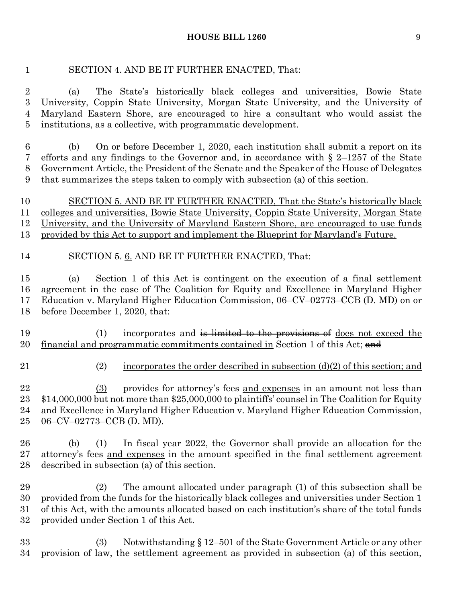#### **HOUSE BILL 1260** 9

### SECTION 4. AND BE IT FURTHER ENACTED, That:

 (a) The State's historically black colleges and universities, Bowie State University, Coppin State University, Morgan State University, and the University of Maryland Eastern Shore, are encouraged to hire a consultant who would assist the institutions, as a collective, with programmatic development.

 (b) On or before December 1, 2020, each institution shall submit a report on its efforts and any findings to the Governor and, in accordance with § 2–1257 of the State Government Article, the President of the Senate and the Speaker of the House of Delegates that summarizes the steps taken to comply with subsection (a) of this section.

10 SECTION 5. AND BE IT FURTHER ENACTED, That the State's historically black colleges and universities, Bowie State University, Coppin State University, Morgan State University, and the University of Maryland Eastern Shore, are encouraged to use funds provided by this Act to support and implement the Blueprint for Maryland's Future.

### 14 SECTION 5. 6. AND BE IT FURTHER ENACTED, That:

 (a) Section 1 of this Act is contingent on the execution of a final settlement agreement in the case of The Coalition for Equity and Excellence in Maryland Higher Education v. Maryland Higher Education Commission, 06–CV–02773–CCB (D. MD) on or before December 1, 2020, that:

19 (1) incorporates and is limited to the provisions of does not exceed the 20 financial and programmatic commitments contained in Section 1 of this Act; and

- 
- 21 (2) incorporates the order described in subsection  $(d)(2)$  of this section; and

 (3) provides for attorney's fees and expenses in an amount not less than \$14,000,000 but not more than \$25,000,000 to plaintiffs' counsel in The Coalition for Equity and Excellence in Maryland Higher Education v. Maryland Higher Education Commission, 06–CV–02773–CCB (D. MD).

 (b) (1) In fiscal year 2022, the Governor shall provide an allocation for the attorney's fees and expenses in the amount specified in the final settlement agreement described in subsection (a) of this section.

 (2) The amount allocated under paragraph (1) of this subsection shall be provided from the funds for the historically black colleges and universities under Section 1 of this Act, with the amounts allocated based on each institution's share of the total funds provided under Section 1 of this Act.

 (3) Notwithstanding § 12–501 of the State Government Article or any other provision of law, the settlement agreement as provided in subsection (a) of this section,